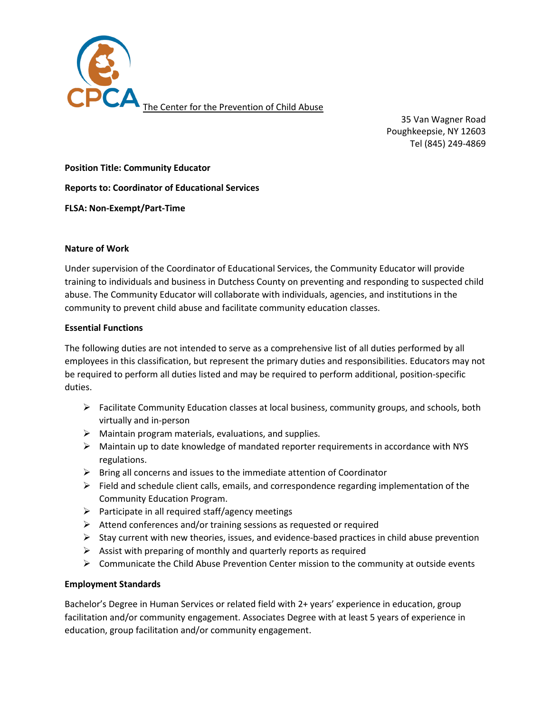

35 Van Wagner Road Poughkeepsie, NY 12603 Tel (845) 249-4869

**Position Title: Community Educator** 

**Reports to: Coordinator of Educational Services** 

**FLSA: Non-Exempt/Part-Time**

#### **Nature of Work**

Under supervision of the Coordinator of Educational Services, the Community Educator will provide training to individuals and business in Dutchess County on preventing and responding to suspected child abuse. The Community Educator will collaborate with individuals, agencies, and institutions in the community to prevent child abuse and facilitate community education classes.

#### **Essential Functions**

The following duties are not intended to serve as a comprehensive list of all duties performed by all employees in this classification, but represent the primary duties and responsibilities. Educators may not be required to perform all duties listed and may be required to perform additional, position-specific duties.

- $\triangleright$  Facilitate Community Education classes at local business, community groups, and schools, both virtually and in-person
- $\triangleright$  Maintain program materials, evaluations, and supplies.
- $\triangleright$  Maintain up to date knowledge of mandated reporter requirements in accordance with NYS regulations.
- $\triangleright$  Bring all concerns and issues to the immediate attention of Coordinator
- $\triangleright$  Field and schedule client calls, emails, and correspondence regarding implementation of the Community Education Program.
- $\triangleright$  Participate in all required staff/agency meetings
- $\triangleright$  Attend conferences and/or training sessions as requested or required
- $\triangleright$  Stay current with new theories, issues, and evidence-based practices in child abuse prevention
- $\triangleright$  Assist with preparing of monthly and quarterly reports as required
- $\triangleright$  Communicate the Child Abuse Prevention Center mission to the community at outside events

## **Employment Standards**

Bachelor's Degree in Human Services or related field with 2+ years' experience in education, group facilitation and/or community engagement. Associates Degree with at least 5 years of experience in education, group facilitation and/or community engagement.